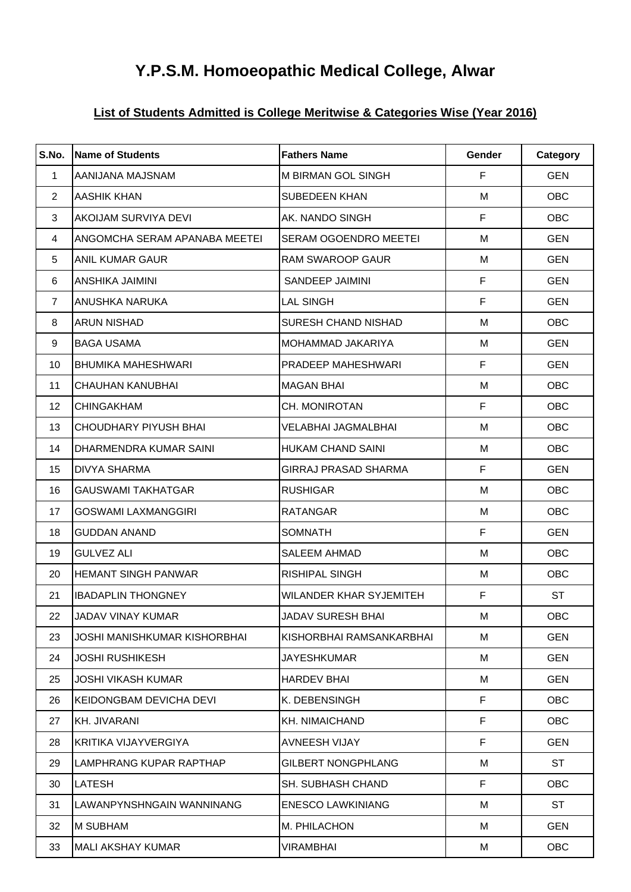# **Y.P.S.M. Homoeopathic Medical College, Alwar**

## **List of Students Admitted is College Meritwise & Categories Wise (Year 2016)**

| S.No.          | Name of Students              | <b>Fathers Name</b>          | Gender      | Category   |
|----------------|-------------------------------|------------------------------|-------------|------------|
| 1              | AANIJANA MAJSNAM              | M BIRMAN GOL SINGH           | F           | <b>GEN</b> |
| 2              | <b>AASHIK KHAN</b>            | <b>SUBEDEEN KHAN</b>         | M           | <b>OBC</b> |
| 3              | AKOIJAM SURVIYA DEVI          | AK. NANDO SINGH              | F           | <b>OBC</b> |
| 4              | ANGOMCHA SERAM APANABA MEETEI | <b>SERAM OGOENDRO MEETEI</b> | м           | <b>GEN</b> |
| 5              | <b>ANIL KUMAR GAUR</b>        | <b>RAM SWAROOP GAUR</b>      | M           | <b>GEN</b> |
| 6              | <b>ANSHIKA JAIMINI</b>        | SANDEEP JAIMINI              | $\mathsf F$ | <b>GEN</b> |
| $\overline{7}$ | ANUSHKA NARUKA                | <b>LAL SINGH</b>             | F           | <b>GEN</b> |
| 8              | <b>ARUN NISHAD</b>            | <b>SURESH CHAND NISHAD</b>   | М           | <b>OBC</b> |
| 9              | <b>BAGA USAMA</b>             | <b>MOHAMMAD JAKARIYA</b>     | M           | <b>GEN</b> |
| 10             | <b>BHUMIKA MAHESHWARI</b>     | PRADEEP MAHESHWARI           | F           | <b>GEN</b> |
| 11             | <b>CHAUHAN KANUBHAI</b>       | <b>MAGAN BHAI</b>            | M           | <b>OBC</b> |
| 12             | <b>CHINGAKHAM</b>             | CH. MONIROTAN                | F           | OBC        |
| 13             | <b>CHOUDHARY PIYUSH BHAI</b>  | <b>VELABHAI JAGMALBHAI</b>   | M           | OBC        |
| 14             | DHARMENDRA KUMAR SAINI        | <b>HUKAM CHAND SAINI</b>     | M           | <b>OBC</b> |
| 15             | <b>DIVYA SHARMA</b>           | <b>GIRRAJ PRASAD SHARMA</b>  | F           | <b>GEN</b> |
| 16             | <b>GAUSWAMI TAKHATGAR</b>     | <b>RUSHIGAR</b>              | м           | <b>OBC</b> |
| 17             | <b>GOSWAMI LAXMANGGIRI</b>    | <b>RATANGAR</b>              | M           | <b>OBC</b> |
| 18             | <b>GUDDAN ANAND</b>           | <b>SOMNATH</b>               | F           | <b>GEN</b> |
| 19             | <b>GULVEZ ALI</b>             | <b>SALEEM AHMAD</b>          | М           | <b>OBC</b> |
| 20             | <b>HEMANT SINGH PANWAR</b>    | RISHIPAL SINGH               | M           | <b>OBC</b> |
| 21             | <b>IBADAPLIN THONGNEY</b>     | WILANDER KHAR SYJEMITEH      | F           | <b>ST</b>  |
| 22             | JADAV VINAY KUMAR             | JADAV SURESH BHAI            | M           | OBC        |
| 23             | JOSHI MANISHKUMAR KISHORBHAI  | KISHORBHAI RAMSANKARBHAI     | м           | <b>GEN</b> |
| 24             | JOSHI RUSHIKESH               | JAYESHKUMAR                  | M           | <b>GEN</b> |
| 25             | JOSHI VIKASH KUMAR            | <b>HARDEV BHAI</b>           | M           | <b>GEN</b> |
| 26             | KEIDONGBAM DEVICHA DEVI       | K. DEBENSINGH                | F           | <b>OBC</b> |
| 27             | KH. JIVARANI                  | KH. NIMAICHAND               | F           | <b>OBC</b> |
| 28             | KRITIKA VIJAYVERGIYA          | AVNEESH VIJAY                | F           | <b>GEN</b> |
| 29             | LAMPHRANG KUPAR RAPTHAP       | <b>GILBERT NONGPHLANG</b>    | M           | <b>ST</b>  |
| 30             | LATESH                        | <b>SH. SUBHASH CHAND</b>     | F           | <b>OBC</b> |
| 31             | LAWANPYNSHNGAIN WANNINANG     | <b>ENESCO LAWKINIANG</b>     | M           | <b>ST</b>  |
| 32             | <b>M SUBHAM</b>               | M. PHILACHON                 | M           | <b>GEN</b> |
| 33             | <b>MALI AKSHAY KUMAR</b>      | VIRAMBHAI                    | M           | <b>OBC</b> |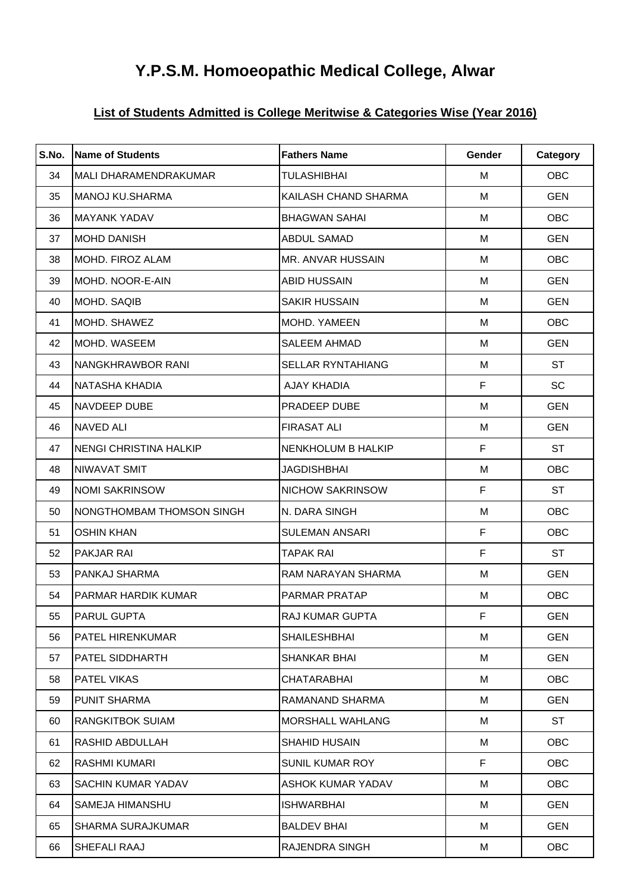# **Y.P.S.M. Homoeopathic Medical College, Alwar**

## **List of Students Admitted is College Meritwise & Categories Wise (Year 2016)**

| S.No. | <b>Name of Students</b>       | <b>Fathers Name</b>       | Gender      | Category   |
|-------|-------------------------------|---------------------------|-------------|------------|
| 34    | MALI DHARAMENDRAKUMAR         | <b>TULASHIBHAI</b>        | M           | <b>OBC</b> |
| 35    | MANOJ KU.SHARMA               | KAILASH CHAND SHARMA      | M           | <b>GEN</b> |
| 36    | <b>MAYANK YADAV</b>           | <b>BHAGWAN SAHAI</b>      | M           | <b>OBC</b> |
| 37    | <b>MOHD DANISH</b>            | ABDUL SAMAD               | M           | <b>GEN</b> |
| 38    | MOHD. FIROZ ALAM              | <b>MR. ANVAR HUSSAIN</b>  | м           | <b>OBC</b> |
| 39    | MOHD. NOOR-E-AIN              | <b>ABID HUSSAIN</b>       | M           | <b>GEN</b> |
| 40    | MOHD. SAQIB                   | <b>SAKIR HUSSAIN</b>      | м           | <b>GEN</b> |
| 41    | MOHD. SHAWEZ                  | <b>MOHD. YAMEEN</b>       | м           | <b>OBC</b> |
| 42    | MOHD. WASEEM                  | <b>SALEEM AHMAD</b>       | M           | <b>GEN</b> |
| 43    | NANGKHRAWBOR RANI             | <b>SELLAR RYNTAHIANG</b>  | м           | <b>ST</b>  |
| 44    | NATASHA KHADIA                | <b>AJAY KHADIA</b>        | F           | <b>SC</b>  |
| 45    | NAVDEEP DUBE                  | PRADEEP DUBE              | M           | <b>GEN</b> |
| 46    | <b>NAVED ALI</b>              | <b>FIRASAT ALI</b>        | M           | <b>GEN</b> |
| 47    | <b>NENGI CHRISTINA HALKIP</b> | <b>NENKHOLUM B HALKIP</b> | $\mathsf F$ | ST         |
| 48    | NIWAVAT SMIT                  | <b>JAGDISHBHAI</b>        | M           | <b>OBC</b> |
| 49    | <b>NOMI SAKRINSOW</b>         | <b>NICHOW SAKRINSOW</b>   | F           | <b>ST</b>  |
| 50    | NONGTHOMBAM THOMSON SINGH     | N. DARA SINGH             | м           | <b>OBC</b> |
| 51    | <b>OSHIN KHAN</b>             | <b>SULEMAN ANSARI</b>     | $\mathsf F$ | OBC        |
| 52    | PAKJAR RAI                    | <b>TAPAK RAI</b>          | F           | <b>ST</b>  |
| 53    | PANKAJ SHARMA                 | RAM NARAYAN SHARMA        | M           | <b>GEN</b> |
| 54    | PARMAR HARDIK KUMAR           | <b>PARMAR PRATAP</b>      | м           | <b>OBC</b> |
| 55    | PARUL GUPTA                   | <b>RAJ KUMAR GUPTA</b>    | F.          | <b>GEN</b> |
| 56    | PATEL HIRENKUMAR              | <b>SHAILESHBHAI</b>       | M           | <b>GEN</b> |
| 57    | PATEL SIDDHARTH               | <b>SHANKAR BHAI</b>       | M           | <b>GEN</b> |
| 58    | PATEL VIKAS                   | <b>CHATARABHAI</b>        | M           | <b>OBC</b> |
| 59    | PUNIT SHARMA                  | RAMANAND SHARMA           | M           | <b>GEN</b> |
| 60    | <b>RANGKITBOK SUIAM</b>       | <b>IMORSHALL WAHLANG</b>  | M           | <b>ST</b>  |
| 61    | RASHID ABDULLAH               | <b>SHAHID HUSAIN</b>      | M           | OBC        |
| 62    | RASHMI KUMARI                 | <b>SUNIL KUMAR ROY</b>    | F           | OBC        |
| 63    | SACHIN KUMAR YADAV            | <b>ASHOK KUMAR YADAV</b>  | M           | <b>OBC</b> |
| 64    | SAMEJA HIMANSHU               | <b>ISHWARBHAI</b>         | M           | <b>GEN</b> |
| 65    | SHARMA SURAJKUMAR             | <b>BALDEV BHAI</b>        | M           | <b>GEN</b> |
| 66    | SHEFALI RAAJ                  | RAJENDRA SINGH            | M           | <b>OBC</b> |